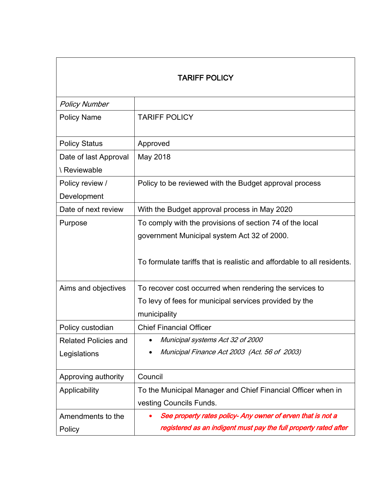| <b>TARIFF POLICY</b>                        |                                                                                                                                                                                    |
|---------------------------------------------|------------------------------------------------------------------------------------------------------------------------------------------------------------------------------------|
| <b>Policy Number</b>                        |                                                                                                                                                                                    |
| <b>Policy Name</b>                          | <b>TARIFF POLICY</b>                                                                                                                                                               |
| <b>Policy Status</b>                        | Approved                                                                                                                                                                           |
| Date of last Approval<br>\ Reviewable       | May 2018                                                                                                                                                                           |
| Policy review /<br>Development              | Policy to be reviewed with the Budget approval process                                                                                                                             |
| Date of next review                         | With the Budget approval process in May 2020                                                                                                                                       |
| Purpose                                     | To comply with the provisions of section 74 of the local<br>government Municipal system Act 32 of 2000.<br>To formulate tariffs that is realistic and affordable to all residents. |
| Aims and objectives                         | To recover cost occurred when rendering the services to<br>To levy of fees for municipal services provided by the<br>municipality                                                  |
| Policy custodian                            | <b>Chief Financial Officer</b>                                                                                                                                                     |
| <b>Related Policies and</b><br>Legislations | Municipal systems Act 32 of 2000<br>Municipal Finance Act 2003 (Act. 56 of 2003)<br>$\bullet$                                                                                      |
| Approving authority                         | Council                                                                                                                                                                            |
| Applicability                               | To the Municipal Manager and Chief Financial Officer when in<br>vesting Councils Funds.                                                                                            |
| Amendments to the                           | See property rates policy- Any owner of erven that is not a                                                                                                                        |
| Policy                                      | registered as an indigent must pay the full property rated after                                                                                                                   |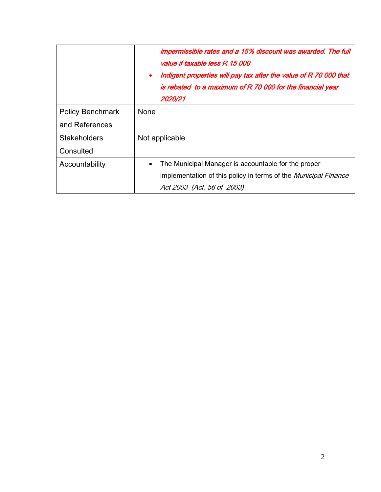|                         | impermissible rates and a 15% discount was awarded. The full<br>value if taxable less R 15 000<br>Indigent properties will pay tax after the value of R 70 000 that<br>$\bullet$<br>is rebated to a maximum of R 70 000 for the financial year<br>2020/21 |
|-------------------------|-----------------------------------------------------------------------------------------------------------------------------------------------------------------------------------------------------------------------------------------------------------|
| <b>Policy Benchmark</b> | None                                                                                                                                                                                                                                                      |
| and References          |                                                                                                                                                                                                                                                           |
| <b>Stakeholders</b>     | Not applicable                                                                                                                                                                                                                                            |
| Consulted               |                                                                                                                                                                                                                                                           |
| Accountability          | The Municipal Manager is accountable for the proper<br>$\bullet$                                                                                                                                                                                          |
|                         | implementation of this policy in terms of the Municipal Finance                                                                                                                                                                                           |
|                         | Act 2003 (Act. 56 of 2003)                                                                                                                                                                                                                                |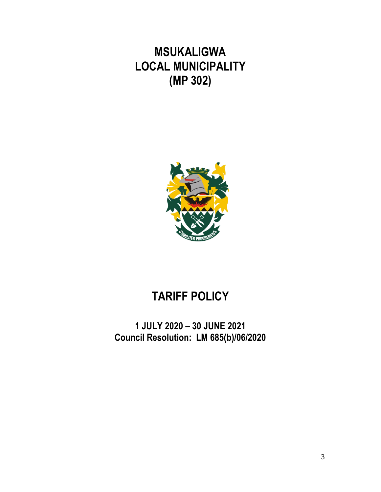**MSUKALIGWA LOCAL MUNICIPALITY (MP 302)**



# **TARIFF POLICY**

**1 JULY 2020 – 30 JUNE 2021 Council Resolution: LM 685(b)/06/2020**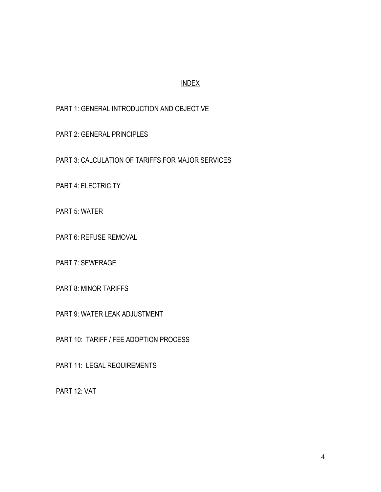## INDEX

PART 1: GENERAL INTRODUCTION AND OBJECTIVE

PART 2: GENERAL PRINCIPLES

PART 3: CALCULATION OF TARIFFS FOR MAJOR SERVICES

PART 4: ELECTRICITY

PART 5: WATER

PART 6: REFUSE REMOVAL

PART 7: SEWERAGE

PART 8: MINOR TARIFFS

PART 9: WATER LEAK ADJUSTMENT

PART 10: TARIFF / FEE ADOPTION PROCESS

PART 11: LEGAL REQUIREMENTS

PART 12: VAT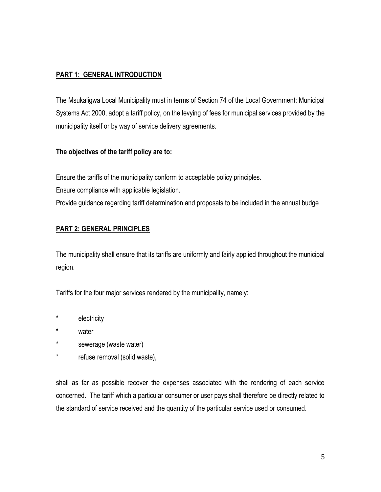# **PART 1: GENERAL INTRODUCTION**

The Msukaligwa Local Municipality must in terms of Section 74 of the Local Government: Municipal Systems Act 2000, adopt a tariff policy, on the levying of fees for municipal services provided by the municipality itself or by way of service delivery agreements.

## **The objectives of the tariff policy are to:**

Ensure the tariffs of the municipality conform to acceptable policy principles. Ensure compliance with applicable legislation.

Provide guidance regarding tariff determination and proposals to be included in the annual budge

# **PART 2: GENERAL PRINCIPLES**

The municipality shall ensure that its tariffs are uniformly and fairly applied throughout the municipal region.

Tariffs for the four major services rendered by the municipality, namely:

- \* electricity
- \* water
- \* sewerage (waste water)
- \* refuse removal (solid waste),

shall as far as possible recover the expenses associated with the rendering of each service concerned. The tariff which a particular consumer or user pays shall therefore be directly related to the standard of service received and the quantity of the particular service used or consumed.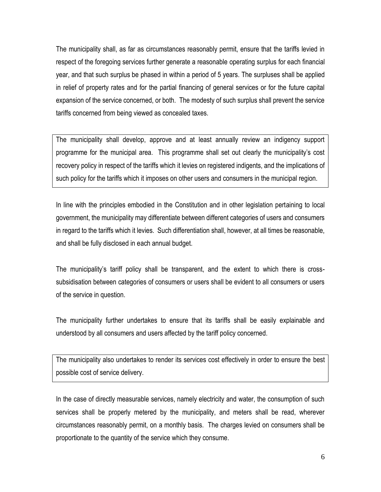The municipality shall, as far as circumstances reasonably permit, ensure that the tariffs levied in respect of the foregoing services further generate a reasonable operating surplus for each financial year, and that such surplus be phased in within a period of 5 years. The surpluses shall be applied in relief of property rates and for the partial financing of general services or for the future capital expansion of the service concerned, or both. The modesty of such surplus shall prevent the service tariffs concerned from being viewed as concealed taxes.

The municipality shall develop, approve and at least annually review an indigency support programme for the municipal area. This programme shall set out clearly the municipality's cost recovery policy in respect of the tariffs which it levies on registered indigents, and the implications of such policy for the tariffs which it imposes on other users and consumers in the municipal region.

In line with the principles embodied in the Constitution and in other legislation pertaining to local government, the municipality may differentiate between different categories of users and consumers in regard to the tariffs which it levies. Such differentiation shall, however, at all times be reasonable, and shall be fully disclosed in each annual budget.

The municipality's tariff policy shall be transparent, and the extent to which there is crosssubsidisation between categories of consumers or users shall be evident to all consumers or users of the service in question.

The municipality further undertakes to ensure that its tariffs shall be easily explainable and understood by all consumers and users affected by the tariff policy concerned.

The municipality also undertakes to render its services cost effectively in order to ensure the best possible cost of service delivery.

In the case of directly measurable services, namely electricity and water, the consumption of such services shall be properly metered by the municipality, and meters shall be read, wherever circumstances reasonably permit, on a monthly basis. The charges levied on consumers shall be proportionate to the quantity of the service which they consume.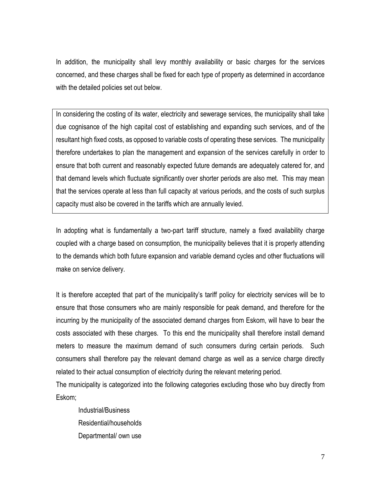In addition, the municipality shall levy monthly availability or basic charges for the services concerned, and these charges shall be fixed for each type of property as determined in accordance with the detailed policies set out below.

In considering the costing of its water, electricity and sewerage services, the municipality shall take due cognisance of the high capital cost of establishing and expanding such services, and of the resultant high fixed costs, as opposed to variable costs of operating these services. The municipality therefore undertakes to plan the management and expansion of the services carefully in order to ensure that both current and reasonably expected future demands are adequately catered for, and that demand levels which fluctuate significantly over shorter periods are also met. This may mean that the services operate at less than full capacity at various periods, and the costs of such surplus capacity must also be covered in the tariffs which are annually levied.

In adopting what is fundamentally a two-part tariff structure, namely a fixed availability charge coupled with a charge based on consumption, the municipality believes that it is properly attending to the demands which both future expansion and variable demand cycles and other fluctuations will make on service delivery.

It is therefore accepted that part of the municipality's tariff policy for electricity services will be to ensure that those consumers who are mainly responsible for peak demand, and therefore for the incurring by the municipality of the associated demand charges from Eskom, will have to bear the costs associated with these charges. To this end the municipality shall therefore install demand meters to measure the maximum demand of such consumers during certain periods. Such consumers shall therefore pay the relevant demand charge as well as a service charge directly related to their actual consumption of electricity during the relevant metering period.

The municipality is categorized into the following categories excluding those who buy directly from Eskom;

Industrial/Business Residential/households Departmental/ own use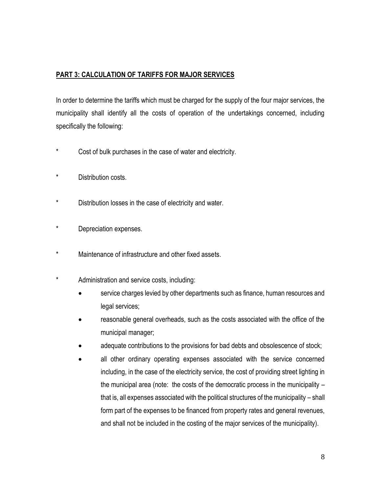# **PART 3: CALCULATION OF TARIFFS FOR MAJOR SERVICES**

In order to determine the tariffs which must be charged for the supply of the four major services, the municipality shall identify all the costs of operation of the undertakings concerned, including specifically the following:

- \* Cost of bulk purchases in the case of water and electricity.
- \* Distribution costs.
- \* Distribution losses in the case of electricity and water.
- \* Depreciation expenses.
- Maintenance of infrastructure and other fixed assets.
- \* Administration and service costs, including:
	- service charges levied by other departments such as finance, human resources and legal services;
	- reasonable general overheads, such as the costs associated with the office of the municipal manager;
	- adequate contributions to the provisions for bad debts and obsolescence of stock;
	- all other ordinary operating expenses associated with the service concerned including, in the case of the electricity service, the cost of providing street lighting in the municipal area (note: the costs of the democratic process in the municipality – that is, all expenses associated with the political structures of the municipality – shall form part of the expenses to be financed from property rates and general revenues, and shall not be included in the costing of the major services of the municipality).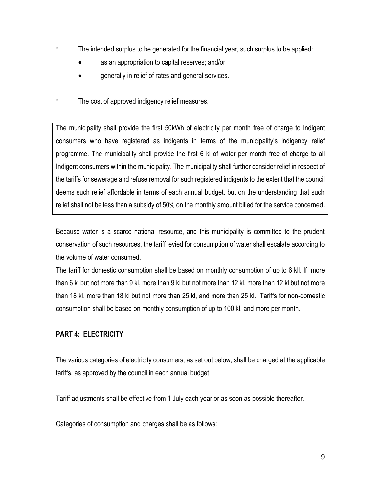- \* The intended surplus to be generated for the financial year, such surplus to be applied:
	- as an appropriation to capital reserves; and/or
	- generally in relief of rates and general services.
- \* The cost of approved indigency relief measures.

The municipality shall provide the first 50kWh of electricity per month free of charge to Indigent consumers who have registered as indigents in terms of the municipality's indigency relief programme. The municipality shall provide the first 6 kl of water per month free of charge to all Indigent consumers within the municipality. The municipality shall further consider relief in respect of the tariffs for sewerage and refuse removal for such registered indigents to the extent that the council deems such relief affordable in terms of each annual budget, but on the understanding that such relief shall not be less than a subsidy of 50% on the monthly amount billed for the service concerned.

Because water is a scarce national resource, and this municipality is committed to the prudent conservation of such resources, the tariff levied for consumption of water shall escalate according to the volume of water consumed.

The tariff for domestic consumption shall be based on monthly consumption of up to 6 kll. If more than 6 kl but not more than 9 kl, more than 9 kl but not more than 12 kl, more than 12 kl but not more than 18 kl, more than 18 kl but not more than 25 kl, and more than 25 kl. Tariffs for non-domestic consumption shall be based on monthly consumption of up to 100 kl, and more per month.

# **PART 4: ELECTRICITY**

The various categories of electricity consumers, as set out below, shall be charged at the applicable tariffs, as approved by the council in each annual budget.

Tariff adjustments shall be effective from 1 July each year or as soon as possible thereafter.

Categories of consumption and charges shall be as follows: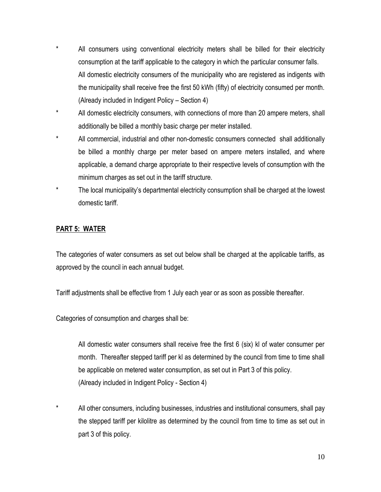- \* All consumers using conventional electricity meters shall be billed for their electricity consumption at the tariff applicable to the category in which the particular consumer falls. All domestic electricity consumers of the municipality who are registered as indigents with the municipality shall receive free the first 50 kWh (fifty) of electricity consumed per month. (Already included in Indigent Policy – Section 4)
- \* All domestic electricity consumers, with connections of more than 20 ampere meters, shall additionally be billed a monthly basic charge per meter installed.
- \* All commercial, industrial and other non-domestic consumers connected shall additionally be billed a monthly charge per meter based on ampere meters installed, and where applicable, a demand charge appropriate to their respective levels of consumption with the minimum charges as set out in the tariff structure.
- \* The local municipality's departmental electricity consumption shall be charged at the lowest domestic tariff.

#### **PART 5: WATER**

The categories of water consumers as set out below shall be charged at the applicable tariffs, as approved by the council in each annual budget.

Tariff adjustments shall be effective from 1 July each year or as soon as possible thereafter.

Categories of consumption and charges shall be:

All domestic water consumers shall receive free the first 6 (six) kl of water consumer per month. Thereafter stepped tariff per kl as determined by the council from time to time shall be applicable on metered water consumption, as set out in Part 3 of this policy. (Already included in Indigent Policy - Section 4)

All other consumers, including businesses, industries and institutional consumers, shall pay the stepped tariff per kilolitre as determined by the council from time to time as set out in part 3 of this policy.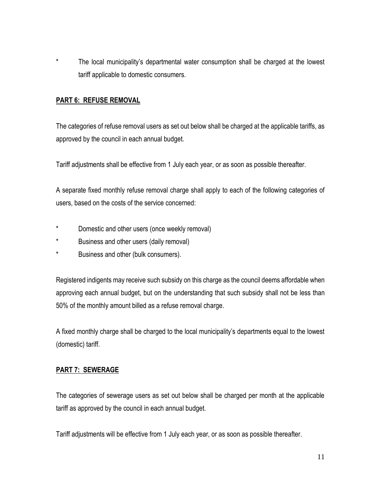\* The local municipality's departmental water consumption shall be charged at the lowest tariff applicable to domestic consumers.

#### **PART 6: REFUSE REMOVAL**

The categories of refuse removal users as set out below shall be charged at the applicable tariffs, as approved by the council in each annual budget.

Tariff adjustments shall be effective from 1 July each year, or as soon as possible thereafter.

A separate fixed monthly refuse removal charge shall apply to each of the following categories of users, based on the costs of the service concerned:

- \* Domestic and other users (once weekly removal)
- \* Business and other users (daily removal)
- \* Business and other (bulk consumers).

Registered indigents may receive such subsidy on this charge as the council deems affordable when approving each annual budget, but on the understanding that such subsidy shall not be less than 50% of the monthly amount billed as a refuse removal charge.

A fixed monthly charge shall be charged to the local municipality's departments equal to the lowest (domestic) tariff.

#### **PART 7: SEWERAGE**

The categories of sewerage users as set out below shall be charged per month at the applicable tariff as approved by the council in each annual budget.

Tariff adjustments will be effective from 1 July each year, or as soon as possible thereafter.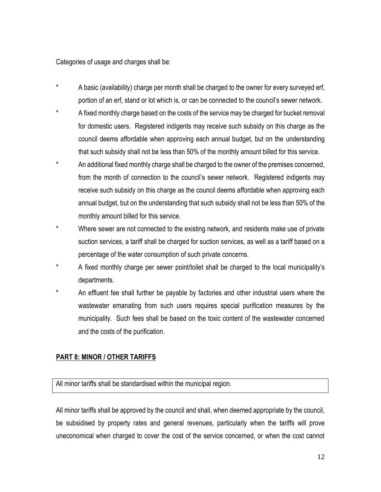Categories of usage and charges shall be:

- A basic (availability) charge per month shall be charged to the owner for every surveyed erf, portion of an erf, stand or lot which is, or can be connected to the council's sewer network.
- A fixed monthly charge based on the costs of the service may be charged for bucket removal for domestic users. Registered indigents may receive such subsidy on this charge as the council deems affordable when approving each annual budget, but on the understanding that such subsidy shall not be less than 50% of the monthly amount billed for this service.
- \* An additional fixed monthly charge shall be charged to the owner of the premises concerned, from the month of connection to the council's sewer network. Registered indigents may receive such subsidy on this charge as the council deems affordable when approving each annual budget, but on the understanding that such subsidy shall not be less than 50% of the monthly amount billed for this service.
- Where sewer are not connected to the existing network, and residents make use of private suction services, a tariff shall be charged for suction services, as well as a tariff based on a percentage of the water consumption of such private concerns.
- A fixed monthly charge per sewer point/toilet shall be charged to the local municipality's departments.
- An effluent fee shall further be payable by factories and other industrial users where the wastewater emanating from such users requires special purification measures by the municipality. Such fees shall be based on the toxic content of the wastewater concerned and the costs of the purification.

#### **PART 8: MINOR / OTHER TARIFFS**

All minor tariffs shall be standardised within the municipal region.

All minor tariffs shall be approved by the council and shall, when deemed appropriate by the council, be subsidised by property rates and general revenues, particularly when the tariffs will prove uneconomical when charged to cover the cost of the service concerned, or when the cost cannot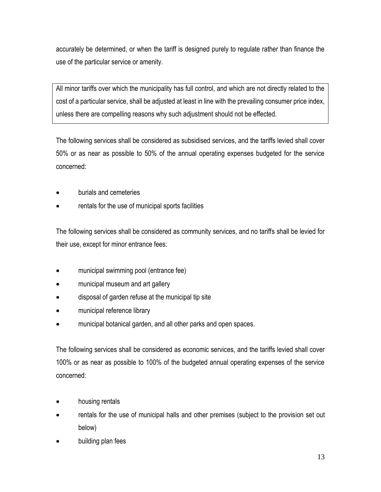accurately be determined, or when the tariff is designed purely to regulate rather than finance the use of the particular service or amenity.

All minor tariffs over which the municipality has full control, and which are not directly related to the cost of a particular service, shall be adjusted at least in line with the prevailing consumer price index, unless there are compelling reasons why such adjustment should not be effected.

The following services shall be considered as subsidised services, and the tariffs levied shall cover 50% or as near as possible to 50% of the annual operating expenses budgeted for the service concerned:

- burials and cemeteries
- rentals for the use of municipal sports facilities

The following services shall be considered as community services, and no tariffs shall be levied for their use, except for minor entrance fees:

- municipal swimming pool (entrance fee)
- municipal museum and art gallery
- disposal of garden refuse at the municipal tip site
- municipal reference library
- municipal botanical garden, and all other parks and open spaces.

The following services shall be considered as economic services, and the tariffs levied shall cover 100% or as near as possible to 100% of the budgeted annual operating expenses of the service concerned:

- housing rentals
- rentals for the use of municipal halls and other premises (subject to the provision set out below)
- building plan fees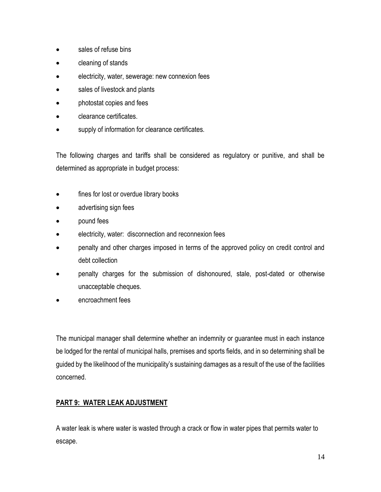- sales of refuse bins
- cleaning of stands
- electricity, water, sewerage: new connexion fees
- sales of livestock and plants
- photostat copies and fees
- clearance certificates.
- supply of information for clearance certificates.

The following charges and tariffs shall be considered as regulatory or punitive, and shall be determined as appropriate in budget process:

- fines for lost or overdue library books
- advertising sign fees
- pound fees
- electricity, water: disconnection and reconnexion fees
- penalty and other charges imposed in terms of the approved policy on credit control and debt collection
- penalty charges for the submission of dishonoured, stale, post-dated or otherwise unacceptable cheques.
- encroachment fees

The municipal manager shall determine whether an indemnity or guarantee must in each instance be lodged for the rental of municipal halls, premises and sports fields, and in so determining shall be guided by the likelihood of the municipality's sustaining damages as a result of the use of the facilities concerned.

## **PART 9: WATER LEAK ADJUSTMENT**

A water leak is where water is wasted through a crack or flow in water pipes that permits water to escape.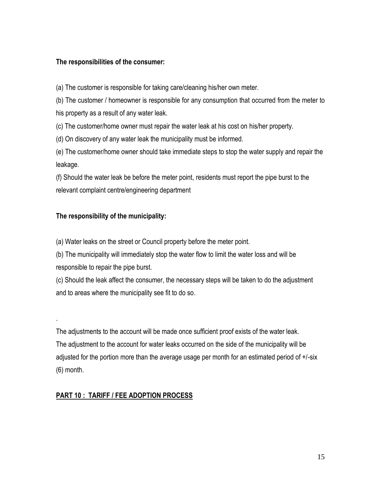#### **The responsibilities of the consumer:**

(a) The customer is responsible for taking care/cleaning his/her own meter.

(b) The customer / homeowner is responsible for any consumption that occurred from the meter to his property as a result of any water leak.

(c) The customer/home owner must repair the water leak at his cost on his/her property.

(d) On discovery of any water leak the municipality must be informed.

(e) The customer/home owner should take immediate steps to stop the water supply and repair the leakage.

(f) Should the water leak be before the meter point, residents must report the pipe burst to the relevant complaint centre/engineering department

#### **The responsibility of the municipality:**

.

(a) Water leaks on the street or Council property before the meter point.

(b) The municipality will immediately stop the water flow to limit the water loss and will be responsible to repair the pipe burst.

(c) Should the leak affect the consumer, the necessary steps will be taken to do the adjustment and to areas where the municipality see fit to do so.

The adjustments to the account will be made once sufficient proof exists of the water leak. The adjustment to the account for water leaks occurred on the side of the municipality will be adjusted for the portion more than the average usage per month for an estimated period of +/-six (6) month.

#### **PART 10 : TARIFF / FEE ADOPTION PROCESS**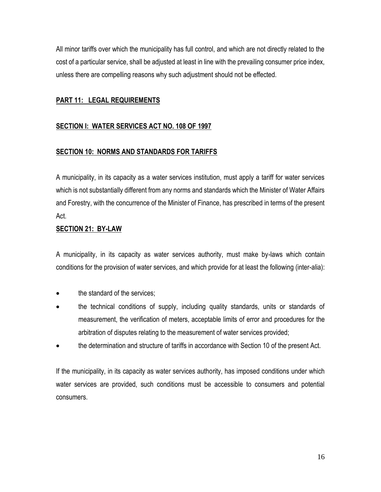All minor tariffs over which the municipality has full control, and which are not directly related to the cost of a particular service, shall be adjusted at least in line with the prevailing consumer price index, unless there are compelling reasons why such adjustment should not be effected.

## **PART 11: LEGAL REQUIREMENTS**

## **SECTION I: WATER SERVICES ACT NO. 108 OF 1997**

#### **SECTION 10: NORMS AND STANDARDS FOR TARIFFS**

A municipality, in its capacity as a water services institution, must apply a tariff for water services which is not substantially different from any norms and standards which the Minister of Water Affairs and Forestry, with the concurrence of the Minister of Finance, has prescribed in terms of the present Act.

#### **SECTION 21: BY-LAW**

A municipality, in its capacity as water services authority, must make by-laws which contain conditions for the provision of water services, and which provide for at least the following (inter-alia):

- the standard of the services;
- the technical conditions of supply, including quality standards, units or standards of measurement, the verification of meters, acceptable limits of error and procedures for the arbitration of disputes relating to the measurement of water services provided;
- the determination and structure of tariffs in accordance with Section 10 of the present Act.

If the municipality, in its capacity as water services authority, has imposed conditions under which water services are provided, such conditions must be accessible to consumers and potential consumers.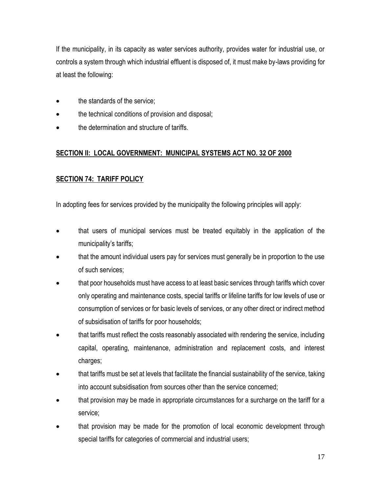If the municipality, in its capacity as water services authority, provides water for industrial use, or controls a system through which industrial effluent is disposed of, it must make by-laws providing for at least the following:

- the standards of the service;
- the technical conditions of provision and disposal;
- the determination and structure of tariffs.

# **SECTION II: LOCAL GOVERNMENT: MUNICIPAL SYSTEMS ACT NO. 32 OF 2000**

# **SECTION 74: TARIFF POLICY**

In adopting fees for services provided by the municipality the following principles will apply:

- that users of municipal services must be treated equitably in the application of the municipality's tariffs;
- that the amount individual users pay for services must generally be in proportion to the use of such services;
- that poor households must have access to at least basic services through tariffs which cover only operating and maintenance costs, special tariffs or lifeline tariffs for low levels of use or consumption of services or for basic levels of services, or any other direct or indirect method of subsidisation of tariffs for poor households;
- that tariffs must reflect the costs reasonably associated with rendering the service, including capital, operating, maintenance, administration and replacement costs, and interest charges;
- that tariffs must be set at levels that facilitate the financial sustainability of the service, taking into account subsidisation from sources other than the service concerned;
- that provision may be made in appropriate circumstances for a surcharge on the tariff for a service;
- that provision may be made for the promotion of local economic development through special tariffs for categories of commercial and industrial users;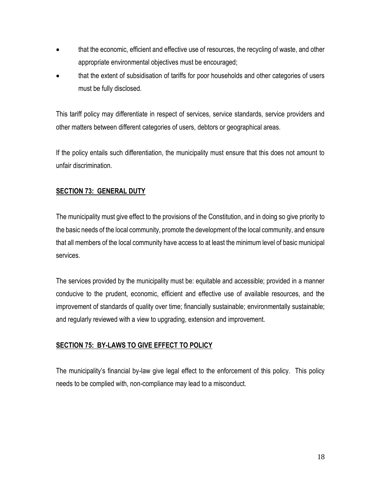- that the economic, efficient and effective use of resources, the recycling of waste, and other appropriate environmental objectives must be encouraged;
- that the extent of subsidisation of tariffs for poor households and other categories of users must be fully disclosed.

This tariff policy may differentiate in respect of services, service standards, service providers and other matters between different categories of users, debtors or geographical areas.

If the policy entails such differentiation, the municipality must ensure that this does not amount to unfair discrimination.

## **SECTION 73: GENERAL DUTY**

The municipality must give effect to the provisions of the Constitution, and in doing so give priority to the basic needs of the local community, promote the development of the local community, and ensure that all members of the local community have access to at least the minimum level of basic municipal services.

The services provided by the municipality must be: equitable and accessible; provided in a manner conducive to the prudent, economic, efficient and effective use of available resources, and the improvement of standards of quality over time; financially sustainable; environmentally sustainable; and regularly reviewed with a view to upgrading, extension and improvement.

#### **SECTION 75: BY-LAWS TO GIVE EFFECT TO POLICY**

The municipality's financial by-law give legal effect to the enforcement of this policy. This policy needs to be complied with, non-compliance may lead to a misconduct.